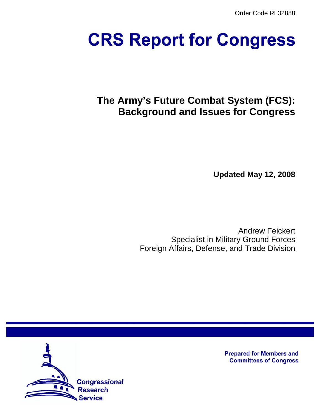Order Code RL32888

# **CRS Report for Congress**

# **The Army's Future Combat System (FCS): Background and Issues for Congress**

**Updated May 12, 2008**

Andrew Feickert Specialist in Military Ground Forces Foreign Affairs, Defense, and Trade Division



**Prepared for Members and Committees of Congress**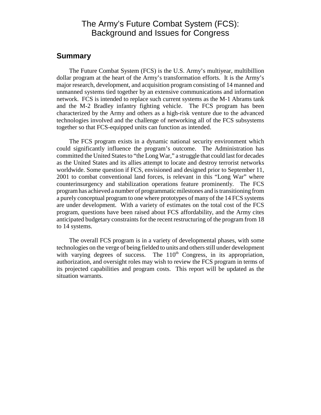# The Army's Future Combat System (FCS): Background and Issues for Congress

#### **Summary**

The Future Combat System (FCS) is the U.S. Army's multiyear, multibillion dollar program at the heart of the Army's transformation efforts. It is the Army's major research, development, and acquisition program consisting of 14 manned and unmanned systems tied together by an extensive communications and information network. FCS is intended to replace such current systems as the M-1 Abrams tank and the M-2 Bradley infantry fighting vehicle. The FCS program has been characterized by the Army and others as a high-risk venture due to the advanced technologies involved and the challenge of networking all of the FCS subsystems together so that FCS-equipped units can function as intended.

The FCS program exists in a dynamic national security environment which could significantly influence the program's outcome. The Administration has committed the United States to "the Long War," a struggle that could last for decades as the United States and its allies attempt to locate and destroy terrorist networks worldwide. Some question if FCS, envisioned and designed prior to September 11, 2001 to combat conventional land forces, is relevant in this "Long War" where counterinsurgency and stabilization operations feature prominently. The FCS program has achieved a number of programmatic milestones and is transitioning from a purely conceptual program to one where prototypes of many of the 14 FCS systems are under development. With a variety of estimates on the total cost of the FCS program, questions have been raised about FCS affordability, and the Army cites anticipated budgetary constraints for the recent restructuring of the program from 18 to 14 systems.

The overall FCS program is in a variety of developmental phases, with some technologies on the verge of being fielded to units and others still under development with varying degrees of success. The  $110<sup>th</sup>$  Congress, in its appropriation, authorization, and oversight roles may wish to review the FCS program in terms of its projected capabilities and program costs. This report will be updated as the situation warrants.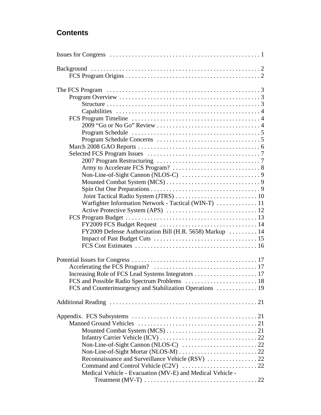# **Contents**

| Warfighter Information Network - Tactical (WIN-T)  11                              |  |
|------------------------------------------------------------------------------------|--|
|                                                                                    |  |
|                                                                                    |  |
|                                                                                    |  |
|                                                                                    |  |
| FY2009 Defense Authorization Bill (H.R. 5658) Markup  14                           |  |
|                                                                                    |  |
|                                                                                    |  |
|                                                                                    |  |
|                                                                                    |  |
|                                                                                    |  |
|                                                                                    |  |
| FCS and Counterinsurgency and Stabilization Operations  19                         |  |
|                                                                                    |  |
|                                                                                    |  |
|                                                                                    |  |
|                                                                                    |  |
|                                                                                    |  |
|                                                                                    |  |
|                                                                                    |  |
|                                                                                    |  |
|                                                                                    |  |
|                                                                                    |  |
|                                                                                    |  |
| Medical Vehicle - Evacuation (MV-E) and Medical Vehicle -                          |  |
| Treatment (MV-T) $\dots\dots\dots\dots\dots\dots\dots\dots\dots\dots\dots\dots 22$ |  |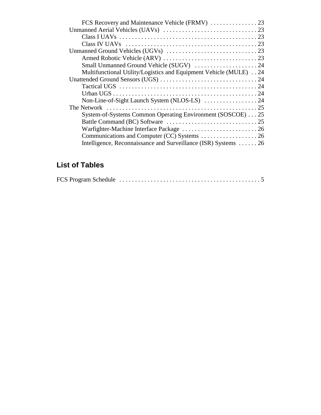| Multifunctional Utility/Logistics and Equipment Vehicle (MULE) 24 |  |
|-------------------------------------------------------------------|--|
|                                                                   |  |
|                                                                   |  |
|                                                                   |  |
|                                                                   |  |
|                                                                   |  |
| System-of-Systems Common Operating Environment (SOSCOE) 25        |  |
|                                                                   |  |
|                                                                   |  |
|                                                                   |  |
| Intelligence, Reconnaissance and Surveillance (ISR) Systems  26   |  |

# **List of Tables**

|--|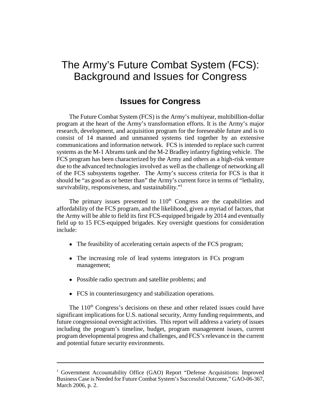# The Army's Future Combat System (FCS): Background and Issues for Congress

# **Issues for Congress**

The Future Combat System (FCS) is the Army's multiyear, multibillion-dollar program at the heart of the Army's transformation efforts. It is the Army's major research, development, and acquisition program for the foreseeable future and is to consist of 14 manned and unmanned systems tied together by an extensive communications and information network. FCS is intended to replace such current systems as the M-1 Abrams tank and the M-2 Bradley infantry fighting vehicle. The FCS program has been characterized by the Army and others as a high-risk venture due to the advanced technologies involved as well as the challenge of networking all of the FCS subsystems together. The Army's success criteria for FCS is that it should be "as good as or better than" the Army's current force in terms of "lethality, survivability, responsiveness, and sustainability."<sup>1</sup>

The primary issues presented to 110<sup>th</sup> Congress are the capabilities and affordability of the FCS program, and the likelihood, given a myriad of factors, that the Army will be able to field its first FCS-equipped brigade by 2014 and eventually field up to 15 FCS-equipped brigades. Key oversight questions for consideration include:

- The feasibility of accelerating certain aspects of the FCS program;
- The increasing role of lead systems integrators in FCs program management;
- ! Possible radio spectrum and satellite problems; and
- FCS in counterinsurgency and stabilization operations.

The  $110<sup>th</sup>$  Congress's decisions on these and other related issues could have significant implications for U.S. national security, Army funding requirements, and future congressional oversight activities. This report will address a variety of issues including the program's timeline, budget, program management issues, current program developmental progress and challenges, and FCS's relevance in the current and potential future security environments.

<sup>&</sup>lt;sup>1</sup> Government Accountability Office (GAO) Report "Defense Acquisitions: Improved Business Case is Needed for Future Combat System's Successful Outcome," GAO-06-367, March 2006, p. 2.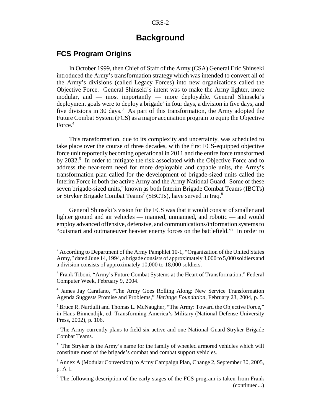# **Background**

#### **FCS Program Origins**

In October 1999, then Chief of Staff of the Army (CSA) General Eric Shinseki introduced the Army's transformation strategy which was intended to convert all of the Army's divisions (called Legacy Forces) into new organizations called the Objective Force. General Shinseki's intent was to make the Army lighter, more modular, and — most importantly — more deployable. General Shinseki's deployment goals were to deploy a brigade<sup>2</sup> in four days, a division in five days, and five divisions in 30 days.<sup>3</sup> As part of this transformation, the Army adopted the Future Combat System (FCS) as a major acquisition program to equip the Objective Force. $4$ 

This transformation, due to its complexity and uncertainty, was scheduled to take place over the course of three decades, with the first FCS-equipped objective force unit reportedly becoming operational in 2011 and the entire force transformed by 2032.<sup>5</sup> In order to mitigate the risk associated with the Objective Force and to address the near-term need for more deployable and capable units, the Army's transformation plan called for the development of brigade-sized units called the Interim Force in both the active Army and the Army National Guard. Some of these seven brigade-sized units,<sup>6</sup> known as both Interim Brigade Combat Teams (IBCTs) or Stryker Brigade Combat Teams<sup>7</sup> (SBCTs), have served in Iraq.<sup>8</sup>

General Shinseki's vision for the FCS was that it would consist of smaller and lighter ground and air vehicles — manned, unmanned, and robotic — and would employ advanced offensive, defensive, and communications/information systems to "outsmart and outmaneuver heavier enemy forces on the battlefield."<sup>9</sup> In order to

<sup>5</sup> Bruce R. Nardulli and Thomas L. McNaugher, "The Army: Toward the Objective Force," in Hans Binnendijk, ed. Transforming America's Military (National Defense University Press, 2002), p. 106.

<sup>6</sup> The Army currently plans to field six active and one National Guard Stryker Brigade Combat Teams.

 $7$  The Stryker is the Army's name for the family of wheeled armored vehicles which will constitute most of the brigade's combat and combat support vehicles.

<sup>8</sup> Annex A (Modular Conversion) to Army Campaign Plan, Change 2, September 30, 2005, p. A-1.

<sup>9</sup> The following description of the early stages of the FCS program is taken from Frank (continued...)

 $2$  According to Department of the Army Pamphlet 10-1, "Organization of the United States Army," dated June 14, 1994, a brigade consists of approximately 3,000 to 5,000 soldiers and a division consists of approximately 10,000 to 18,000 soldiers.

<sup>&</sup>lt;sup>3</sup> Frank Tiboni, "Army's Future Combat Systems at the Heart of Transformation," Federal Computer Week, February 9, 2004.

<sup>4</sup> James Jay Carafano, "The Army Goes Rolling Along: New Service Transformation Agenda Suggests Promise and Problems," *Heritage Foundation*, February 23, 2004, p. 5.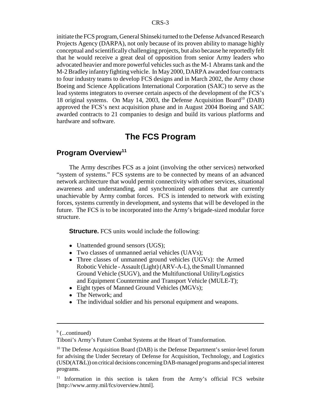initiate the FCS program, General Shinseki turned to the Defense Advanced Research Projects Agency (DARPA), not only because of its proven ability to manage highly conceptual and scientifically challenging projects, but also because he reportedly felt that he would receive a great deal of opposition from senior Army leaders who advocated heavier and more powerful vehicles such as the M-1 Abrams tank and the M-2 Bradley infantry fighting vehicle. In May 2000, DARPA awarded four contracts to four industry teams to develop FCS designs and in March 2002, the Army chose Boeing and Science Applications International Corporation (SAIC) to serve as the lead systems integrators to oversee certain aspects of the development of the FCS's 18 original systems. On May 14, 2003, the Defense Acquisition Board<sup>10</sup> (DAB) approved the FCS's next acquisition phase and in August 2004 Boeing and SAIC awarded contracts to 21 companies to design and build its various platforms and hardware and software.

# **The FCS Program**

### **Program Overview<sup>11</sup>**

The Army describes FCS as a joint (involving the other services) networked "system of systems." FCS systems are to be connected by means of an advanced network architecture that would permit connectivity with other services, situational awareness and understanding, and synchronized operations that are currently unachievable by Army combat forces. FCS is intended to network with existing forces, systems currently in development, and systems that will be developed in the future. The FCS is to be incorporated into the Army's brigade-sized modular force structure.

**Structure.** FCS units would include the following:

- Unattended ground sensors (UGS);
- Two classes of unmanned aerial vehicles (UAVs);
- Three classes of unmanned ground vehicles (UGVs): the Armed Robotic Vehicle - Assault (Light) (ARV-A-L), the Small Unmanned Ground Vehicle (SUGV), and the Multifunctional Utility/Logistics and Equipment Countermine and Transport Vehicle (MULE-T);
- Eight types of Manned Ground Vehicles (MGVs);
- The Network; and
- The individual soldier and his personal equipment and weapons.

<sup>&</sup>lt;sup>9</sup> (...continued)

Tiboni's Army's Future Combat Systems at the Heart of Transformation.

 $10$  The Defense Acquisition Board (DAB) is the Defense Department's senior-level forum for advising the Under Secretary of Defense for Acquisition, Technology, and Logistics (USD(AT&L)) on critical decisions concerning DAB-managed programs and special interest programs.

<sup>&</sup>lt;sup>11</sup> Information in this section is taken from the Army's official FCS website [http://www.army.mil/fcs/overview.html].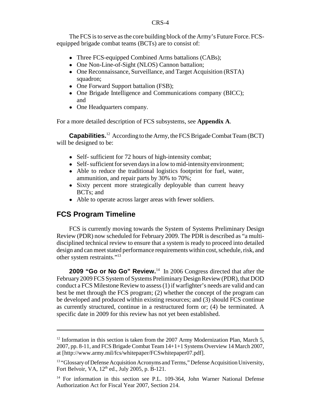The FCS is to serve as the core building block of the Army's Future Force. FCSequipped brigade combat teams (BCTs) are to consist of:

- Three FCS-equipped Combined Arms battalions (CABs);
- One Non-Line-of-Sight (NLOS) Cannon battalion;
- One Reconnaissance, Surveillance, and Target Acquisition (RSTA) squadron;
- One Forward Support battalion (FSB);
- One Brigade Intelligence and Communications company (BICC); and
- One Headquarters company.

For a more detailed description of FCS subsystems, see **Appendix A**.

**Capabilities.**12 According to the Army, the FCS Brigade Combat Team (BCT) will be designed to be:

- Self- sufficient for 72 hours of high-intensity combat;
- Self- sufficient for seven days in a low to mid-intensity environment;
- Able to reduce the traditional logistics footprint for fuel, water, ammunition, and repair parts by 30% to 70%;
- Sixty percent more strategically deployable than current heavy BCTs; and
- Able to operate across larger areas with fewer soldiers.

#### **FCS Program Timeline**

FCS is currently moving towards the System of Systems Preliminary Design Review (PDR) now scheduled for February 2009. The PDR is described as "a multidisciplined technical review to ensure that a system is ready to proceed into detailed design and can meet stated performance requirements within cost, schedule, risk, and other system restraints."13

**2009 "Go or No Go" Review.**14 In 2006 Congress directed that after the February 2009 FCS System of Systems Preliminary Design Review (PDR), that DOD conduct a FCS Milestone Review to assess (1) if warfighter's needs are valid and can best be met through the FCS program; (2) whether the concept of the program can be developed and produced within existing resources; and (3) should FCS continue as currently structured, continue in a restructured form or; (4) be terminated. A specific date in 2009 for this review has not yet been established.

 $12$  Information in this section is taken from the 2007 Army Modernization Plan, March 5, 2007, pp. 8-11, and FCS Brigade Combat Team 14+1+1 Systems Overview 14 March 2007, at [http://www.army.mil/fcs/whitepaper/FCSwhitepaper07.pdf].

<sup>&</sup>lt;sup>13</sup> "Glossary of Defense Acquisition Acronyms and Terms," Defense Acquisition University, Fort Belvoir, VA,  $12<sup>th</sup>$  ed., July 2005, p. B-121.

<sup>&</sup>lt;sup>14</sup> For information in this section see P.L. 109-364, John Warner National Defense Authorization Act for Fiscal Year 2007, Section 214.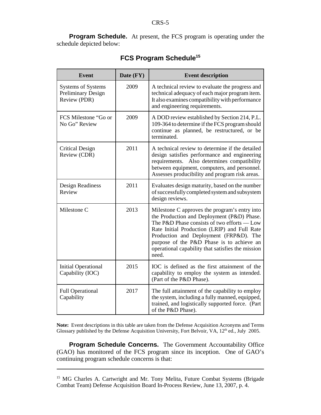**Program Schedule.** At present, the FCS program is operating under the schedule depicted below:

| Event                                                                  | Date (FY) | <b>Event description</b>                                                                                                                                                                                                                                                                                                                        |
|------------------------------------------------------------------------|-----------|-------------------------------------------------------------------------------------------------------------------------------------------------------------------------------------------------------------------------------------------------------------------------------------------------------------------------------------------------|
| <b>Systems of Systems</b><br><b>Preliminary Design</b><br>Review (PDR) | 2009      | A technical review to evaluate the progress and<br>technical adequacy of each major program item.<br>It also examines compatibility with performance<br>and engineering requirements.                                                                                                                                                           |
| FCS Milestone "Go or<br>No Go" Review                                  | 2009      | A DOD review established by Section 214, P.L.<br>109-364 to determine if the FCS program should<br>continue as planned, be restructured, or be<br>terminated.                                                                                                                                                                                   |
| <b>Critical Design</b><br>Review (CDR)                                 | 2011      | A technical review to determine if the detailed<br>design satisfies performance and engineering<br>Also determines compatibility<br>requirements.<br>between equipment, computers, and personnel.<br>Assesses producibility and program risk areas.                                                                                             |
| Design Readiness<br>Review                                             | 2011      | Evaluates design maturity, based on the number<br>of successfully completed system and subsystem<br>design reviews.                                                                                                                                                                                                                             |
| Milestone C                                                            | 2013      | Milestone C approves the program's entry into<br>the Production and Deployment (P&D) Phase.<br>The P&D Phase consists of two efforts - Low<br>Rate Initial Production (LRIP) and Full Rate<br>Production and Deployment (FRP&D). The<br>purpose of the P&D Phase is to achieve an<br>operational capability that satisfies the mission<br>need. |
| <b>Initial Operational</b><br>Capability (IOC)                         | 2015      | IOC is defined as the first attainment of the<br>capability to employ the system as intended.<br>(Part of the P&D Phase).                                                                                                                                                                                                                       |
| <b>Full Operational</b><br>Capability                                  | 2017      | The full attainment of the capability to employ<br>the system, including a fully manned, equipped,<br>trained, and logistically supported force. (Part<br>of the P&D Phase).                                                                                                                                                                    |

# **FCS Program Schedule15**

**Note:** Event descriptions in this table are taken from the Defense Acquisition Acronyms and Terms Glossary published by the Defense Acquisition University, Fort Belvoir, VA, 12<sup>th</sup> ed., July 2005.

**Program Schedule Concerns.** The Government Accountability Office (GAO) has monitored of the FCS program since its inception. One of GAO's continuing program schedule concerns is that:

<sup>&</sup>lt;sup>15</sup> MG Charles A. Cartwright and Mr. Tony Melita, Future Combat Systems (Brigade Combat Team) Defense Acquisition Board In-Process Review, June 13, 2007, p. 4.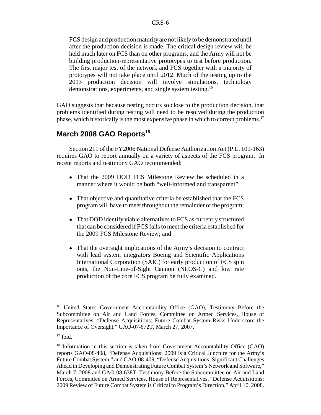FCS design and production maturity are not likely to be demonstrated until after the production decision is made. The critical design review will be held much later on FCS than on other programs, and the Army will not be building production-representative prototypes to test before production. The first major test of the network and FCS together with a majority of prototypes will not take place until 2012. Much of the testing up to the 2013 production decision will involve simulations, technology demonstrations, experiments, and single system testing.16

GAO suggests that because testing occurs so close to the production decision, that problems identified during testing will need to be resolved during the production phase, which historically is the most expensive phase in which to correct problems.17

# **March 2008 GAO Reports<sup>18</sup>**

Section 211 of the FY2006 National Defense Authorization Act (P.L. 109-163) requires GAO to report annually on a variety of aspects of the FCS program. In recent reports and testimony GAO recommended:

- That the 2009 DOD FCS Milestone Review be scheduled in a manner where it would be both "well-informed and transparent";
- That objective and quantitative criteria be established that the FCS program will have to meet throughout the remainder of the program;
- That DOD identify viable alternatives to FCS as currently structured that can be considered if FCS fails to meet the criteria established for the 2009 FCS Milestone Review; and
- That the oversight implications of the Army's decision to contract with lead system integrators Boeing and Scientific Applications International Corporation (SAIC) for early production of FCS spin outs, the Non-Line-of-Sight Cannon (NLOS-C) and low rate production of the core FCS program be fully examined.

<sup>&</sup>lt;sup>16</sup> United States Government Accountability Office (GAO), Testimony Before the Subcommittee on Air and Land Forces, Committee on Armed Services, House of Representatives, "Defense Acquisitions: Future Combat System Risks Underscore the Importance of Oversight," GAO-07-672T, March 27, 2007.

 $17$  Ibid.

<sup>&</sup>lt;sup>18</sup> Information in this section is taken from Government Accountability Office (GAO) reports GAO-08-408, "Defense Acquisitions: 2009 is a Critical Juncture for the Army's Future Combat System," and GAO-08-409, "Defense Acquisitions: Significant Challenges Ahead in Developing and Demonstrating Future Combat System's Network and Software," March 7, 2008 and GAO-08-638T, Testimony Before the Subcommittee on Air and Land Forces, Committee on Armed Services, House of Representatives, "Defense Acquisitions: 2009 Review of Future Combat System is Critical to Program's Direction," April 10, 2008.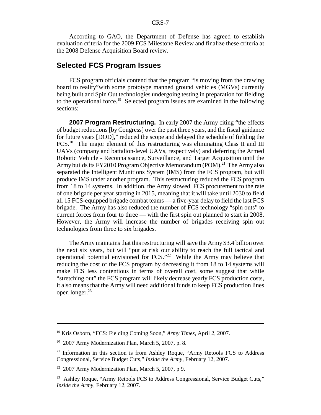According to GAO, the Department of Defense has agreed to establish evaluation criteria for the 2009 FCS Milestone Review and finalize these criteria at the 2008 Defense Acquisition Board review.

#### **Selected FCS Program Issues**

FCS program officials contend that the program "is moving from the drawing board to reality"with some prototype manned ground vehicles (MGVs) currently being built and Spin Out technologies undergoing testing in preparation for fielding to the operational force.19 Selected program issues are examined in the following sections:

**2007 Program Restructuring.** In early 2007 the Army citing "the effects" of budget reductions [by Congress] over the past three years, and the fiscal guidance for future years [DOD]," reduced the scope and delayed the schedule of fielding the FCS.<sup>20</sup> The major element of this restructuring was eliminating Class II and III UAVs (company and battalion-level UAVs, respectively) and deferring the Armed Robotic Vehicle - Reconnaissance, Surveillance, and Target Acquisition until the Army builds its FY2010 Program Objective Memorandum (POM).<sup>21</sup> The Army also separated the Intelligent Munitions System (IMS) from the FCS program, but will produce IMS under another program. This restructuring reduced the FCS program from 18 to 14 systems. In addition, the Army slowed FCS procurement to the rate of one brigade per year starting in 2015, meaning that it will take until 2030 to field all 15 FCS-equipped brigade combat teams — a five-year delay to field the last FCS brigade. The Army has also reduced the number of FCS technology "spin outs" to current forces from four to three — with the first spin out planned to start in 2008. However, the Army will increase the number of brigades receiving spin out technologies from three to six brigades.

The Army maintains that this restructuring will save the Army \$3.4 billion over the next six years, but will "put at risk our ability to reach the full tactical and operational potential envisioned for FCS."<sup>22</sup> While the Army may believe that reducing the cost of the FCS program by decreasing it from 18 to 14 systems will make FCS less contentious in terms of overall cost, some suggest that while "stretching out" the FCS program will likely decrease yearly FCS production costs, it also means that the Army will need additional funds to keep FCS production lines open longer.23

<sup>19</sup> Kris Osborn, "FCS: Fielding Coming Soon," *Army Times*, April 2, 2007.

 $2007$  Army Modernization Plan, March 5, 2007, p. 8.

<sup>&</sup>lt;sup>21</sup> Information in this section is from Ashley Roque, "Army Retools FCS to Address Congressional, Service Budget Cuts," *Inside the Army*, February 12, 2007.

 $22$  2007 Army Modernization Plan, March 5, 2007, p 9.

<sup>&</sup>lt;sup>23</sup> Ashley Roque, "Army Retools FCS to Address Congressional, Service Budget Cuts," *Inside the Army,* February 12, 2007.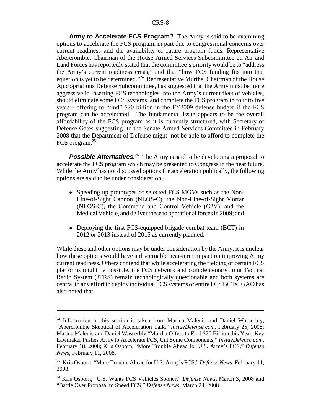**Army to Accelerate FCS Program?** The Army is said to be examining options to accelerate the FCS program, in part due to congressional concerns over current readiness and the availability of future program funds. Representative Abercrombie, Chairman of the House Armed Services Subcommittee on Air and Land Forces has reportedly stated that the committee's priority would be to "address the Army's current readiness crisis," and that "how FCS funding fits into that equation is yet to be determined."<sup>24</sup> Representative Murtha, Chairman of the House Appropriations Defense Subcommittee, has suggested that the Army must be more aggressive in inserting FCS technologies into the Army's current fleet of vehicles, should eliminate some FCS systems, and complete the FCS program in four to five years - offering to "find" \$20 billion in the FY2009 defense budget if the FCS program can be accelerated. The fundamental issue appears to be the overall affordability of the FCS program as it is currently structured, with Secretary of Defense Gates suggesting to the Senate Armed Services Committee in February 2008 that the Department of Defense might not be able to afford to complete the FCS program.25

**Possible Alternatives.**<sup>26</sup> The Army is said to be developing a proposal to accelerate the FCS program which may be presented to Congress in the near future. While the Army has not discussed options for acceleration publically, the following options are said to be under consideration:

- ! Speeding up prototypes of selected FCS MGVs such as the Non-Line-of-Sight Cannon (NLOS-C), the Non-Line-of-Sight Mortar (NLOS-C), the Command and Control Vehicle (C2V), and the Medical Vehicle, and deliver these to operational forces in 2009; and
- Deploying the first FCS-equipped brigade combat team (BCT) in 2012 or 2013 instead of 2015 as currently planned.

While these and other options may be under consideration by the Army, it is unclear how these options would have a discernable near-term impact on improving Army current readiness. Others contend that while accelerating the fielding of certain FCS platforms might be possible, the FCS network and complementary Joint Tactical Radio System (JTRS) remain technologically questionable and both systems are central to any effort to deploy individual FCS systems or entire FCS BCTs. GAO has also noted that

<sup>&</sup>lt;sup>24</sup> Information in this section is taken from Marina Malenic and Daniel Wasserbly, "Abercrombie Skeptical of Acceleration Talk," *InsideDefense.com,* February 25, 2008; Marina Malenic and Daniel Wasserbly "Murtha Offers to Find \$20 Billion this Year: Key Lawmaker Pushes Army to Accelerate FCS, Cut Some Components," *InsideDefense.com,* February 18, 2008; Kris Osborn, "More Trouble Ahead for U.S. Army's FCS," *Defense News,* February 11, 2008.

<sup>25</sup> Kris Osborn, "More Trouble Ahead for U.S. Army's FCS," *Defense News,* February 11, 2008.

<sup>26</sup> Kris Osborn, "U.S. Wants FCS Vehicles Sooner," *Defense News,* March 3, 2008 and "Battle Over Proposal to Speed FCS," *Defense News,* March 24, 2008.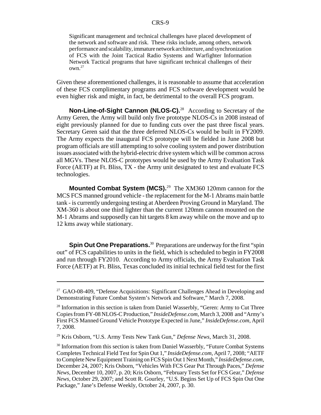Significant management and technical challenges have placed development of the network and software and risk. These risks include, among others, network performance and scalability, immature network architecture, and synchronization of FCS with the Joint Tactical Radio Systems and Warfighter Information Network Tactical programs that have significant technical challenges of their  $own<sup>.27</sup>$ 

Given these aforementioned challenges, it is reasonable to assume that acceleration of these FCS complimentary programs and FCS software development would be even higher risk and might, in fact, be detrimental to the overall FCS program.

**Non-Line-of-Sight Cannon (NLOS-C).**<sup>28</sup> According to Secretary of the Army Geren, the Army will build only five prototype NLOS-Cs in 2008 instead of eight previously planned for due to funding cuts over the past three fiscal years. Secretary Geren said that the three deferred NLOS-Cs would be built in FY2009. The Army expects the inaugural FCS prototype will be fielded in June 2008 but program officials are still attempting to solve cooling system and power distribution issues associated with the hybrid-electric drive system which will be common across all MGVs. These NLOS-C prototypes would be used by the Army Evaluation Task Force (AETF) at Ft. Bliss, TX - the Army unit designated to test and evaluate FCS technologies.

**Mounted Combat System (MCS).**29 The XM360 120mm cannon for the MCS FCS manned ground vehicle - the replacement for the M-1 Abrams main battle tank - is currently undergoing testing at Aberdeen Proving Ground in Maryland. The XM-360 is about one third lighter than the current 120mm cannon mounted on the M-1 Abrams and supposedly can hit targets 8 km away while on the move and up to 12 kms away while stationary.

**Spin Out One Preparations.**<sup>30</sup> Preparations are underway for the first "spin out" of FCS capabilities to units in the field, which is scheduled to begin in FY2008 and run through FY2010. According to Army officials, the Army Evaluation Task Force (AETF) at Ft. Bliss, Texas concluded its initial technical field test for the first

 $27$  GAO-08-409, "Defense Acquisitions: Significant Challenges Ahead in Developing and Demonstrating Future Combat System's Network and Software," March 7, 2008.

 $2<sup>28</sup>$  Information in this section is taken from Daniel Wasserbly, "Geren: Army to Cut Three Copies from FY-08 NLOS-C Production," *InsideDefense.com,* March 3, 2008 and "Army's First FCS Manned Ground Vehicle Prototype Expected in June," *InsideDefense.com,* April 7, 2008.

<sup>29</sup> Kris Osborn, "U.S. Army Tests New Tank Gun," *Defense News,* March 31, 2008.

<sup>&</sup>lt;sup>30</sup> Information from this section is taken from Daniel Wasserbly, "Future Combat Systems" Completes Technical Field Test for Spin Out 1," *InsideDefense.com,* April 7, 2008; "AETF to Complete New Equipment Training on FCS Spin Out 1 Next Month," *InsideDefense.com,* December 24, 2007; Kris Osborn, "Vehicles With FCS Gear Put Through Paces," *Defense News,* December 10, 2007, p. 20; Kris Osborn, "February Tests Set for FCS Gear," *Defense News,* October 29, 2007; and Scott R. Gourley, "U.S. Begins Set Up of FCS Spin Out One Package," Jane's Defense Weekly, October 24, 2007, p. 30.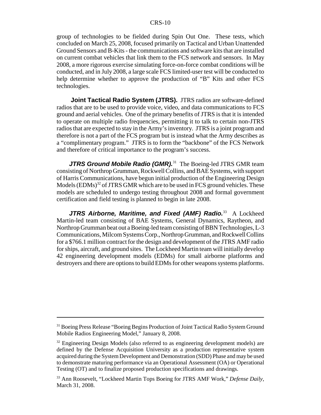group of technologies to be fielded during Spin Out One. These tests, which concluded on March 25, 2008, focused primarily on Tactical and Urban Unattended Ground Sensors and B-Kits - the communications and software kits that are installed on current combat vehicles that link them to the FCS network and sensors. In May 2008, a more rigorous exercise simulating force-on-force combat conditions will be conducted, and in July 2008, a large scale FCS limited-user test will be conducted to help determine whether to approve the production of "B" Kits and other FCS technologies.

 **Joint Tactical Radio System (JTRS).** JTRS radios are software-defined radios that are to be used to provide voice, video, and data communications to FCS ground and aerial vehicles. One of the primary benefits of JTRS is that it is intended to operate on multiple radio frequencies, permitting it to talk to certain non-JTRS radios that are expected to stay in the Army's inventory. JTRS is a joint program and therefore is not a part of the FCS program but is instead what the Army describes as a "complimentary program." JTRS is to form the "backbone" of the FCS Network and therefore of critical importance to the program's success.

**JTRS Ground Mobile Radio (GMR).**<sup>31</sup> The Boeing-led JTRS GMR team consisting of Northrop Grumman, Rockwell Collins, and BAE Systems, with support of Harris Communications, have begun initial production of the Engineering Design Models  $(EDMs)^{32}$  of JTRS GMR which are to be used in FCS ground vehicles. These models are scheduled to undergo testing throughout 2008 and formal government certification and field testing is planned to begin in late 2008.

JTRS Airborne, Maritime, and Fixed (AMF) Radio.<sup>33</sup> A Lockheed Martin-led team consisting of BAE Systems, General Dynamics, Raytheon, and Northrop Grumman beat out a Boeing-led team consisting of BBN Technologies, L-3 Communications, Milcom Systems Corp., Northrop Grumman, and Rockwell Collins for a \$766.1 million contract for the design and development of the JTRS AMF radio for ships, aircraft, and ground sites. The Lockheed Martin team will initially develop 42 engineering development models (EDMs) for small airborne platforms and destroyers and there are options to build EDMs for other weapons systems platforms.

<sup>&</sup>lt;sup>31</sup> Boeing Press Release "Boeing Begins Production of Joint Tactical Radio System Ground Mobile Radios Engineering Model," January 8, 2008.

 $32$  Engineering Design Models (also referred to as engineering development models) are defined by the Defense Acquisition University as a production representative system acquired during the System Development and Demonstration (SDD) Phase and may be used to demonstrate maturing performance via an Operational Assessment (OA) or Operational Testing (OT) and to finalize proposed production specifications and drawings.

<sup>33</sup> Ann Roosevelt, "Lockheed Martin Tops Boeing for JTRS AMF Work," *Defense Daily,* March 31, 2008.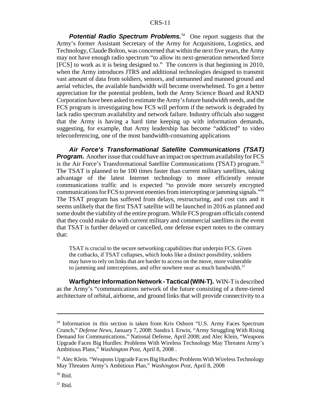#### CRS-11

**Potential Radio Spectrum Problems.**<sup>34</sup> One report suggests that the Army's former Assistant Secretary of the Army for Acquisitions, Logistics, and Technology, Claude Bolton, was concerned that within the next five years, the Army may not have enough radio spectrum "to allow its next-generation networked force [FCS] to work as it is being designed to." The concern is that beginning in 2010, when the Army introduces JTRS and additional technologies designed to transmit vast amount of data from soldiers, sensors, and unmanned and manned ground and aerial vehicles, the available bandwidth will become overwhelmed. To get a better appreciation for the potential problem, both the Army Science Board and RAND Corporation have been asked to estimate the Army's future bandwidth needs, and the FCS program is investigating how FCS will perform if the network is degraded by lack radio spectrum availability and network failure. Industry officials also suggest that the Army is having a hard time keeping up with information demands, suggesting, for example, that Army leadership has become "addicted" to video teleconferencing, one of the most bandwidth-consuming applications

*Air Force's Transformational Satellite Communications (TSAT) Program.* Another issue that could have an impact on spectrum availability for FCS is the Air Force's Transformational Satellite Communications (TSAT) program.<sup>35</sup> The TSAT is planned to be 100 times faster than current military satellites, taking advantage of the latest Internet technology to more efficiently reroute communications traffic and is expected "to provide more securely encrypted communications for FCS to prevent enemies from intercepting or jamming signals."<sup>36</sup> The TSAT program has suffered from delays, restructuring, and cost cuts and it seems unlikely that the first TSAT satellite will be launched in 2016 as planned and some doubt the viability of the entire program. While FCS program officials contend that they could make do with current military and commercial satellites in the event that TSAT is further delayed or cancelled, one defense expert notes to the contrary that:

TSAT is crucial to the secure networking capabilities that underpin FCS. Given the cutbacks, if TSAT collapses, which looks like a distinct possibility, soldiers may have to rely on links that are harder to access on the move, more vulnerable to jamming and interceptions, and offer nowhere near as much bandwidth. $37$ 

**Warfighter Information Network - Tactical (WIN-T).** WIN-T is described as the Army's "communications network of the future consisting of a three-tiered architecture of orbital, airborne, and ground links that will provide connectivity to a

<sup>&</sup>lt;sup>34</sup> Information in this section is taken from Kris Osborn "U.S. Army Faces Spectrum Crunch," *Defense News,* January 7, 2008: Sandra I. Erwin, "Army Struggling With Rising Demand for Communications," National Defense, April 2008; and Alec Klein, "Weapons Upgrade Faces Big Hurdles: Problems With Wireless Technology May Threaten Army's Ambitious Plans," *Washington Post,* April 8, 2008 .

<sup>35</sup> Alec Klein. "Weapons Upgrade Faces Big Hurdles: Problems With Wireless Technology May Threaten Army's Ambitious Plan," *Washington Post,* April 8, 2008

 $36$  Ibid.

 $37$  Ibid.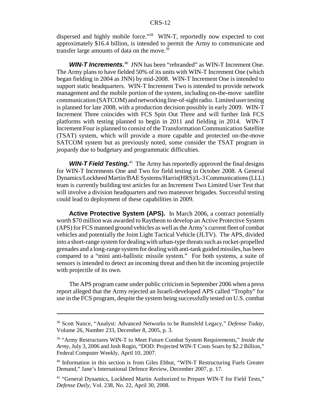dispersed and highly mobile force."<sup>38</sup> WIN-T, reportedly now expected to cost approximately \$16.4 billion, is intended to permit the Army to communicate and transfer large amounts of data on the move.<sup>39</sup>

**WIN-T Increments.**<sup>40</sup> JNN has been "rebranded" as WIN-T Increment One. The Army plans to have fielded 50% of its units with WIN-T Increment One (which began fielding in 2004 as JNN) by mid-2008. WIN-T Increment One is intended to support static headquarters. WIN-T Increment Two is intended to provide network management and the mobile portion of the system, including on-the-move satellite communication (SATCOM) and networking line-of-sight radio. Limited user testing is planned for late 2008, with a production decision possibly in early 2009. WIN-T Increment Three coincides with FCS Spin Out Three and will further link FCS platforms with testing planned to begin in 2011 and fielding in 2014. WIN-T Increment Four is planned to consist of the Transformation Communication Satellite (TSAT) system, which will provide a more capable and protected on-the-move SATCOM system but as previously noted, some consider the TSAT program in jeopardy due to budgetary and programmatic difficulties.

**WIN-T Field Testing.**<sup>41</sup> The Army has reportedly approved the final designs for WIN-T Increments One and Two for field testing in October 2008. A General Dynamics/Lockheed Martin/BAE Systems/Harris(HRS)/L-3 Communications (LLL) team is currently building test articles for an Increment Two Limited User Test that will involve a division headquarters and two maneuver brigades. Successful testing could lead to deployment of these capabilities in 2009.

**Active Protective System (APS).** In March 2006, a contract potentially worth \$70 million was awarded to Raytheon to develop an Active Protective System (APS) for FCS manned ground vehicles as well as the Army's current fleet of combat vehicles and potentially the Joint Light Tactical Vehicle (JLTV). The APS, divided into a short-range system for dealing with urban-type threats such as rocket-propelled grenades and a long-range system for dealing with anti-tank guided missiles, has been compared to a "mini anti-ballistic missile system." For both systems, a suite of sensors is intended to detect an incoming threat and then hit the incoming projectile with projectile of its own.

The APS program came under public criticism in September 2006 when a press report alleged that the Army rejected an Israeli-developed APS called "Trophy" for use in the FCS program, despite the system being successfully tested on U.S. combat

<sup>38</sup> Scott Nance, "Analyst: Advanced Networks to be Rumsfeld Legacy," *Defense Today*, Volume 26, Number 233, December 8, 2005, p. 3.

<sup>39 &</sup>quot;Army Restructures WIN-T to Meet Future Combat System Requirements," *Inside the Army*, July 3, 2006 and Josh Rogin, "DOD: Projected WIN-T Costs Soars by \$2.2 Billion," Federal Computer Weekly, April 10, 2007.

<sup>40</sup> Information in this section is from Giles Ebbut, "WIN-T Restructuring Fuels Greater Demand," Jane's International Defence Review, December 2007, p. 17.

<sup>&</sup>lt;sup>41</sup> "General Dynamics, Lockheed Martin Authorized to Prepare WIN-T for Field Tests," *Defense Daily,* Vol. 238, No. 22, April 30, 2008.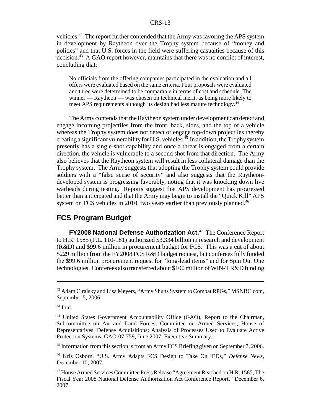#### CRS-13

vehicles.<sup>42</sup> The report further contended that the Army was favoring the APS system in development by Raytheon over the Trophy system because of "money and politics" and that U.S. forces in the field were suffering casualties because of this decision.43 A GAO report however, maintains that there was no conflict of interest, concluding that:

No officials from the offering companies participated in the evaluation and all offers were evaluated based on the same criteria. Four proposals were evaluated and three were determined to be comparable in terms of cost and schedule. The winner — Raytheon — was chosen on technical merit, as being more likely to meet APS requirements although its design had less mature technology.<sup>44</sup>

The Army contends that the Raytheon system under development can detect and engage incoming projectiles from the front, back, sides, and the top of a vehicle whereas the Trophy system does not detect or engage top-down projectiles thereby creating a significant vulnerability for U.S. vehicles.<sup>45</sup> In addition, the Trophy system presently has a single-shot capability and once a threat is engaged from a certain direction, the vehicle is vulnerable to a second shot from that direction. The Army also believes that the Raytheon system will result in less collateral damage than the Trophy system. The Army suggests that adopting the Trophy system could provide soldiers with a "false sense of security" and also suggests that the Raytheondeveloped system is progressing favorably, noting that it was knocking down live warheads during testing. Reports suggest that APS development has progressed better than anticipated and that the Army may begin to install the "Quick Kill" APS system on FCS vehicles in 2010, two years earlier than previously planned.<sup>46</sup>

#### **FCS Program Budget**

**FY2008 National Defense Authorization Act.**47 The Conference Report to H.R. 1585 (P.L. 110-181) authorized \$3.334 billion in research and development (R&D) and \$99.6 million in procurement budget for FCS. This was a cut of about \$229 million from the FY2008 FCS R&D budget request, but conferees fully funded the \$99.6 million procurement request for "long-lead items" and for Spin Out One technologies. Conferees also transferred about \$100 million of WIN-T R&D funding

<sup>&</sup>lt;sup>42</sup> Adam Ciralsky and Lisa Meyers, "Army Shuns System to Combat RPGs," MSNBC.com, September 5, 2006.

 $43$  Ibid.

<sup>44</sup> United States Government Accountability Office (GAO), Report to the Chairman, Subcommittee on Air and Land Forces, Committee on Armed Services, House of Representatives, Defense Acquisitions: Analysis of Processes Used to Evaluate Active Protection Systems, GAO-07-759, June 2007, Executive Summary.

<sup>&</sup>lt;sup>45</sup> Information from this section is from an Army FCS Briefing given on September 7, 2006.

<sup>46</sup> Kris Osborn, "U.S. Army Adapts FCS Design to Take On IEDs," *Defense News,* December 10, 2007.

<sup>47</sup> House Armed Services Committee Press Release "Agreement Reached on H.R. 1585, The Fiscal Year 2008 National Defense Authorization Act Conference Report," December 6, 2007.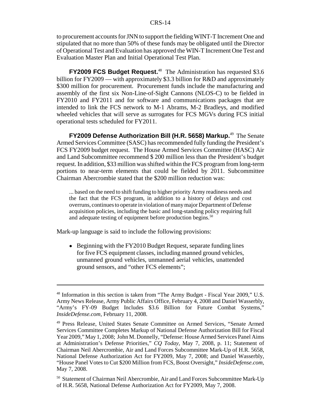#### CRS-14

to procurement accounts for JNN to support the fielding WINT-T Increment One and stipulated that no more than 50% of these funds may be obligated until the Director of Operational Test and Evaluation has approved the WIN-T Increment One Test and Evaluation Master Plan and Initial Operational Test Plan.

**FY2009 FCS Budget Request.**48 The Administration has requested \$3.6 billion for FY2009 — with approximately \$3.3 billion for R&D and approximately \$300 million for procurement. Procurement funds include the manufacturing and assembly of the first six Non-Line-of-Sight Cannons (NLOS-C) to be fielded in FY2010 and FY2011 and for software and communications packages that are intended to link the FCS network to M-1 Abrams, M-2 Bradleys, and modified wheeled vehicles that will serve as surrogates for FCS MGVs during FCS initial operational tests scheduled for FY2011.

**FY2009 Defense Authorization Bill (H.R. 5658) Markup.**49 The Senate Armed Services Committee (SASC) has recommended fully funding the President's FCS FY2009 budget request. The House Armed Services Committee (HASC) Air and Land Subcommittee recommend \$ 200 million less than the President's budget request. In addition, \$33 million was shifted within the FCS program from long-term portions to near-term elements that could be fielded by 2011. Subcommittee Chairman Abercrombie stated that the \$200 million reduction was:

... based on the need to shift funding to higher priority Army readiness needs and the fact that the FCS program, in addition to a history of delays and cost overruns, continues to operate in violation of many major Department of Defense acquisition policies, including the basic and long-standing policy requiring full and adequate testing of equipment before production begins.<sup>50</sup>

Mark-up language is said to include the following provisions:

• Beginning with the FY2010 Budget Request, separate funding lines for five FCS equipment classes, including manned ground vehicles, unmanned ground vehicles, unmanned aerial vehicles, unattended ground sensors, and "other FCS elements";

<sup>&</sup>lt;sup>48</sup> Information in this section is taken from "The Army Budget - Fiscal Year 2009," U.S. Army News Release, Army Public Affairs Office, February 4, 2008 and Daniel Wasserbly, "Army's FY-09 Budget Includes \$3.6 Billion for Future Combat Systems," *InsideDefense.com,* February 11, 2008.

<sup>49</sup> Press Release, United States Senate Committee on Armed Services, "Senate Armed Services Committee Completes Markup of National Defense Authorization Bill for Fiscal Year 2009," May 1, 2008; John M. Donnelly, "Defense: House Armed Services Panel Aims at Administration's Defense Priorities," *CQ Today,* May 7, 2008, p. 11; Statement of Chairman Neil Abercrombie, Air and Land Forces Subcommittee Mark-Up of H.R. 5658, National Defense Authorization Act for FY2009, May 7, 2008; and Daniel Wasserbly, "House Panel Votes to Cut \$200 Million from FCS, Boost Oversight," *InsideDefense.com,* May 7, 2008.

<sup>&</sup>lt;sup>50</sup> Statement of Chairman Neil Abercrombie, Air and Land Forces Subcommittee Mark-Up of H.R. 5658, National Defense Authorization Act for FY2009, May 7, 2008.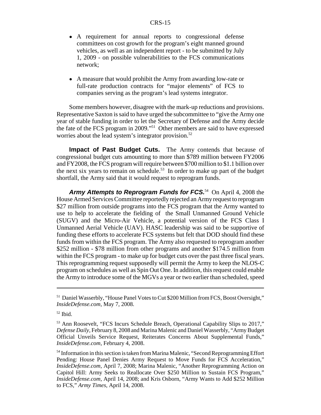- A requirement for annual reports to congressional defense committees on cost growth for the program's eight manned ground vehicles, as well as an independent report - to be submitted by July 1, 2009 - on possible vulnerabilities to the FCS communications network;
- ! A measure that would prohibit the Army from awarding low-rate or full-rate production contracts for "major elements" of FCS to companies serving as the program's lead systems integrator.

Some members however, disagree with the mark-up reductions and provisions. Representative Saxton is said to have urged the subcommittee to "give the Army one year of stable funding in order to let the Secretary of Defense and the Army decide the fate of the FCS program in 2009."51 Other members are said to have expressed worries about the lead system's integrator provision.<sup>52</sup>

**Impact of Past Budget Cuts.** The Army contends that because of congressional budget cuts amounting to more than \$789 million between FY2006 and FY2008, the FCS program will require between \$700 million to \$1.1 billion over the next six years to remain on schedule.<sup>53</sup> In order to make up part of the budget shortfall, the Army said that it would request to reprogram funds.

Army Attempts to Reprogram Funds for FCS.<sup>54</sup> On April 4, 2008 the House Armed Services Committee reportedly rejected an Army request to reprogram \$27 million from outside programs into the FCS program that the Army wanted to use to help to accelerate the fielding of the Small Unmanned Ground Vehicle (SUGV) and the Micro-Air Vehicle, a potential version of the FCS Class I Unmanned Aerial Vehicle (UAV). HASC leadership was said to be supportive of funding these efforts to accelerate FCS systems but felt that DOD should find these funds from within the FCS program. The Army also requested to reprogram another \$252 million - \$78 million from other programs and another \$174.5 million from within the FCS program - to make up for budget cuts over the past three fiscal years. This reprogramming request supposedly will permit the Army to keep the NLOS-C program on schedules as well as Spin Out One. In addition, this request could enable the Army to introduce some of the MGVs a year or two earlier than scheduled, speed

<sup>&</sup>lt;sup>51</sup> Daniel Wasserbly, "House Panel Votes to Cut \$200 Million from FCS, Boost Oversight," *InsideDefense.com,* May 7, 2008.

 $52$  Ibid.

<sup>53</sup> Ann Roosevelt, "FCS Incurs Schedule Breach, Operational Capability Slips to 2017," *Defense Daily,* February 8, 2008 and Marina Malenic and Daniel Wasserbly, "Army Budget Official Unveils Service Request, Reiterates Concerns About Supplemental Funds," *InsideDefense.com,* February 4, 2008.

<sup>&</sup>lt;sup>54</sup> Information in this section is taken from Marina Malenic, "Second Reprogramming Effort Pending: House Panel Denies Army Request to Move Funds for FCS Acceleration," *InsideDefense.com,* April 7, 2008; Marina Malenic, "Another Reprogramming Action on Capitol Hill: Army Seeks to Reallocate Over \$250 Million to Sustain FCS Program," *InsideDefense.com,* April 14, 2008; and Kris Osborn, "Army Wants to Add \$252 Million to FCS," *Army Times,* April 14, 2008.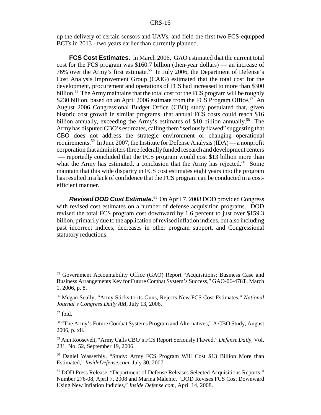up the delivery of certain sensors and UAVs, and field the first two FCS-equipped BCTs in 2013 - two years earlier than currently planned.

**FCS Cost Estimates.** In March 2006, GAO estimated that the current total cost for the FCS program was \$160.7 billion (then-year dollars) — an increase of 76% over the Army's first estimate.<sup>55</sup> In July 2006, the Department of Defense's Cost Analysis Improvement Group (CAIG) estimated that the total cost for the development, procurement and operations of FCS had increased to more than \$300 billion.<sup>56</sup> The Army maintains that the total cost for the FCS program will be roughly \$230 billion, based on an April 2006 estimate from the FCS Program Office.<sup>57</sup> An August 2006 Congressional Budget Office (CBO) study postulated that, given historic cost growth in similar programs, that annual FCS costs could reach \$16 billion annually, exceeding the Army's estimates of \$10 billion annually.<sup>58</sup> The Army has disputed CBO's estimates, calling them "seriously flawed" suggesting that CBO does not address the strategic environment or changing operational requirements.<sup>59</sup> In June 2007, the Institute for Defense Analysis (IDA) — a nonprofit corporation that administers three federally funded research and development centers — reportedly concluded that the FCS program would cost \$13 billion more than what the Army has estimated, a conclusion that the Army has rejected.<sup>60</sup> Some maintain that this wide disparity in FCS cost estimates eight years into the program has resulted in a lack of confidence that the FCS program can be conducted in a costefficient manner.

*Revised DOD Cost Estimate.*61 On April 7, 2008 DOD provided Congress with revised cost estimates on a number of defense acquisition programs. DOD revised the total FCS program cost downward by 1.6 percent to just over \$159.3 billion, primarily due to the application of revised inflation indices, but also including past incorrect indices, decreases in other program support, and Congressional statutory reductions.

<sup>55</sup> Government Accountability Office (GAO) Report "Acquisitions: Business Case and Business Arrangements Key for Future Combat System's Success," GAO-06-478T, March 1, 2006, p. 8.

<sup>56</sup> Megan Scully, "Army Sticks to its Guns, Rejects New FCS Cost Estimates," *National Journal's Congress Daily AM,* July 13, 2006.

 $57$  Ibid.

<sup>58 &</sup>quot;The Army's Future Combat Systems Program and Alternatives," A CBO Study, August 2006, p. xii.

<sup>59</sup> Ann Roosevelt, "Army Calls CBO's FCS Report Seriously Flawed," *Defense Daily,* Vol. 231, No. 52, September 19, 2006.

<sup>60</sup> Daniel Wasserbly, "Study: Army FCS Program Will Cost \$13 Billion More than Estimated," *InsideDefense.com,* July 30, 2007.

<sup>61</sup> DOD Press Release, "Department of Defense Releases Selected Acquisitions Reports," Number 276-08, April 7, 2008 and Marina Malenic, "DOD Revises FCS Cost Downward Using New Inflation Indicies," *Inside Defense.com,* April 14, 2008.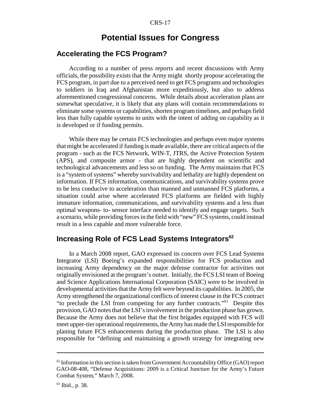# **Potential Issues for Congress**

#### **Accelerating the FCS Program?**

According to a number of press reports and recent discussions with Army officials, the possibility exists that the Army might shortly propose accelerating the FCS program, in part due to a perceived need to get FCS programs and technologies to soldiers in Iraq and Afghanistan more expeditiously, but also to address aforementioned congressional concerns. While details about acceleration plans are somewhat speculative, it is likely that any plans will contain recommendations to eliminate some systems or capabilities, shorten program timelines, and perhaps field less than fully capable systems to units with the intent of adding on capability as it is developed or if funding permits.

While there may be certain FCS technologies and perhaps even major systems that might be accelerated if funding is made available, there are critical aspects of the program - such as the FCS Network, WIN-T, JTRS, the Active Protection System (APS), and composite armor - that are highly dependent on scientific and technological advancements and less so on funding. The Army maintains that FCS is a "system of systems" whereby survivability and lethality are highly dependent on information. If FCS information, communications, and survivability systems prove to be less conducive to acceleration than manned and unmanned FCS platforms, a situation could arise where accelerated FCS platforms are fielded with highly immature information, communications, and survivability systems and a less than optimal weapons- to- sensor interface needed to identify and engage targets. Such a scenario, while providing forces in the field with "new" FCS systems, could instead result in a less capable and more vulnerable force.

# **Increasing Role of FCS Lead Systems Integrators**<sup>62</sup>

In a March 2008 report, GAO expressed its concern over FCS Lead Systems Integrator (LSI) Boeing's expanded responsibilities for FCS production and increasing Army dependency on the major defense contractor for activities not originally envisioned at the program's outset. Initially, the FCS LSI team of Boeing and Science Applications International Corporation (SAIC) were to be involved in developmental activities that the Army felt were beyond its capabilities. In 2005, the Army strengthened the organizational conflicts of interest clause in the FCS contract "to preclude the LSI from competing for any further contracts."63 Despite this provision, GAO notes that the LSI's involvement in the production phase has grown. Because the Army does not believe that the first brigades equipped with FCS will meet upper-tier operational requirements, the Army has made the LSI responsible for planing future FCS enhancements during the production phase. The LSI is also responsible for "defining and maintaining a growth strategy for integrating new

 $62$  Information in this section is taken from Government Accountability Office (GAO) report GAO-08-408, "Defense Acquisitions: 2009 is a Critical Juncture for the Army's Future Combat System," March 7, 2008.

<sup>63</sup> Ibid., p. 38.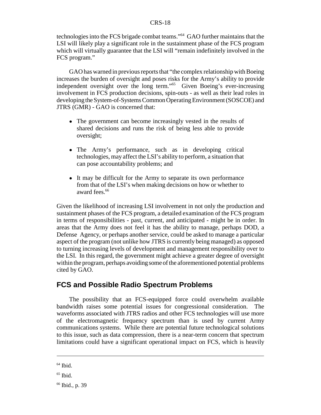#### CRS-18

technologies into the FCS brigade combat teams."64 GAO further maintains that the LSI will likely play a significant role in the sustainment phase of the FCS program which will virtually guarantee that the LSI will "remain indefinitely involved in the FCS program."

GAO has warned in previous reports that "the complex relationship with Boeing increases the burden of oversight and poses risks for the Army's ability to provide independent oversight over the long term."65 Given Boeing's ever-increasing involvement in FCS production decisions, spin-outs - as well as their lead roles in developing the System-of-Systems Common Operating Environment (SOSCOE) and JTRS (GMR) - GAO is concerned that:

- The government can become increasingly vested in the results of shared decisions and runs the risk of being less able to provide oversight;
- ! The Army's performance, such as in developing critical technologies, may affect the LSI's ability to perform, a situation that can pose accountability problems; and
- It may be difficult for the Army to separate its own performance from that of the LSI's when making decisions on how or whether to award fees.<sup>66</sup>

Given the likelihood of increasing LSI involvement in not only the production and sustainment phases of the FCS program, a detailed examination of the FCS program in terms of responsibilities - past, current, and anticipated - might be in order. In areas that the Army does not feel it has the ability to manage, perhaps DOD, a Defense Agency, or perhaps another service, could be asked to manage a particular aspect of the program (not unlike how JTRS is currently being managed) as opposed to turning increasing levels of development and management responsibility over to the LSI. In this regard, the government might achieve a greater degree of oversight within the program, perhaps avoiding some of the aforementioned potential problems cited by GAO.

#### **FCS and Possible Radio Spectrum Problems**

The possibility that an FCS-equipped force could overwhelm available bandwidth raises some potential issues for congressional consideration. The waveforms associated with JTRS radios and other FCS technologies will use more of the electromagnetic frequency spectrum than is used by current Army communications systems. While there are potential future technological solutions to this issue, such as data compression, there is a near-term concern that spectrum limitations could have a significant operational impact on FCS, which is heavily

 $64$  Ibid.

 $65$  Ibid.

<sup>66</sup> Ibid., p. 39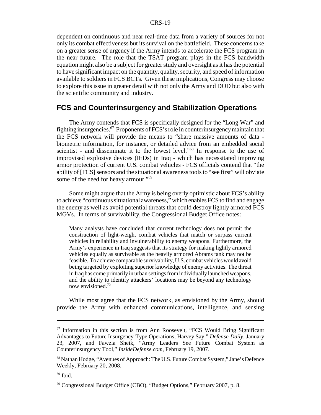dependent on continuous and near real-time data from a variety of sources for not only its combat effectiveness but its survival on the battlefield. These concerns take on a greater sense of urgency if the Army intends to accelerate the FCS program in the near future. The role that the TSAT program plays in the FCS bandwidth equation might also be a subject for greater study and oversight as it has the potential to have significant impact on the quantity, quality, security, and speed of information available to soldiers in FCS BCTs. Given these implications, Congress may choose to explore this issue in greater detail with not only the Army and DOD but also with the scientific community and industry.

#### **FCS and Counterinsurgency and Stabilization Operations**

The Army contends that FCS is specifically designed for the "Long War" and fighting insurgencies.67 Proponents of FCS's role in counterinsurgency maintain that the FCS network will provide the means to "share massive amounts of data biometric information, for instance, or detailed advice from an embedded social scientist - and disseminate it to the lowest level."68 In response to the use of improvised explosive devices (IEDs) in Iraq - which has necessitated improving armor protection of current U.S. combat vehicles - FCS officials contend that "the ability of [FCS] sensors and the situational awareness tools to "see first" will obviate some of the need for heavy armour."<sup>69</sup>

Some might argue that the Army is being overly optimistic about FCS's ability to achieve "continuous situational awareness," which enables FCS to find and engage the enemy as well as avoid potential threats that could destroy lightly armored FCS MGVs. In terms of survivability, the Congressional Budget Office notes:

Many analysts have concluded that current technology does not permit the construction of light-weight combat vehicles that match or surpass current vehicles in reliability and invulnerability to enemy weapons. Furthermore, the Army's experience in Iraq suggests that its strategy for making lightly armored vehicles equally as survivable as the heavily armored Abrams tank may not be feasible. To achieve comparable survivability, U.S. combat vehicles would avoid being targeted by exploiting superior knowledge of enemy activities. The threat in Iraq has come primarily in urban settings from individually launched weapons, and the ability to identify attackers' locations may be beyond any technology now envisioned.70

While most agree that the FCS network, as envisioned by the Army, should provide the Army with enhanced communications, intelligence, and sensing

 $67$  Information in this section is from Ann Roosevelt, "FCS Would Bring Significant Advantages to Future Insurgency-Type Operations, Harvey Say," *Defense Daily,* January 23, 2007, and Fawzia Sheik, "Army Leaders See Future Combat System as Counterinsurgency Tool," *InsideDefense.com*, February 19, 2007.

<sup>68</sup> Nathan Hodge, "Avenues of Approach: The U.S. Future Combat System," Jane's Defence Weekly, February 20, 2008.

 $69$  Ibid.

<sup>70</sup> Congressional Budget Office (CBO), "Budget Options," February 2007, p. 8.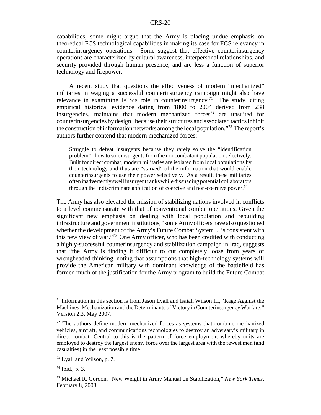capabilities, some might argue that the Army is placing undue emphasis on theoretical FCS technological capabilities in making its case for FCS relevancy in counterinsurgency operations. Some suggest that effective counterinsurgency operations are characterized by cultural awareness, interpersonal relationships, and security provided through human presence, and are less a function of superior technology and firepower.

A recent study that questions the effectiveness of modern "mechanized" militaries in waging a successful counterinsurgency campaign might also have relevance in examining FCS's role in counterinsurgency.<sup>71</sup> The study, citing empirical historical evidence dating from 1800 to 2004 derived from 238 insurgencies, maintains that modern mechanized forces<sup>72</sup> are unsuited for counterinsurgencies by design "because their structures and associated tactics inhibit the construction of information networks among the local population."73 The report's authors further contend that modern mechanized forces:

Struggle to defeat insurgents because they rarely solve the "identification problem" - how to sort insurgents from the noncombatant population selectively. Built for direct combat, modern militaries are isolated from local populations by their technology and thus are "starved" of the information that would enable counterinsurgents to use their power selectively. As a result, these militaries often inadvertently swell insurgent ranks while dissuading potential collaborators through the indiscriminate application of coercive and non-coercive power.<sup>74</sup>

The Army has also elevated the mission of stabilizing nations involved in conflicts to a level commensurate with that of conventional combat operations. Given the significant new emphasis on dealing with local population and rebuilding infrastructure and government institutions, "some Army officers have also questioned whether the development of the Army's Future Combat System ... is consistent with this new view of war."75 One Army officer, who has been credited with conducting a highly-successful counterinsurgency and stabilization campaign in Iraq, suggests that "the Army is finding it difficult to cut completely loose from years of wrongheaded thinking, noting that assumptions that high-technology systems will provide the American military with dominant knowledge of the battlefield has formed much of the justification for the Army program to build the Future Combat

 $71$  Information in this section is from Jason Lyall and Isaiah Wilson III, "Rage Against the Machines: Mechanization and the Determinants of Victory in Counterinsurgency Warfare," Version 2.3, May 2007.

 $72$  The authors define modern mechanized forces as systems that combine mechanized vehicles, aircraft, and communications technologies to destroy an adversary's military in direct combat. Central to this is the pattern of force employment whereby units are employed to destroy the largest enemy force over the largest area with the fewest men (and casualties) in the least possible time.

 $^{73}$  Lyall and Wilson, p. 7.

 $74$  Ibid., p. 3.

<sup>75</sup> Michael R. Gordon, "New Weight in Army Manual on Stabilization," *New York Times,* February 8, 2008.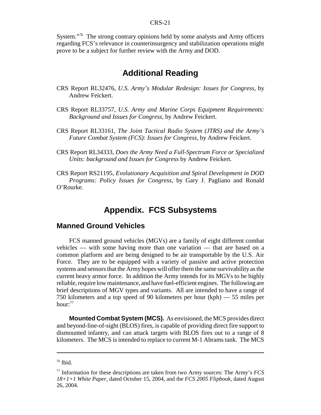#### CRS-21

System."<sup>76</sup> The strong contrary opinions held by some analysts and Army officers regarding FCS's relevance in counterinsurgency and stabilization operations might prove to be a subject for further review with the Army and DOD.

# **Additional Reading**

- CRS Report RL32476, *U.S. Army's Modular Redesign: Issues for Congress*, by Andrew Feickert.
- CRS Report RL33757, *U.S. Army and Marine Corps Equipment Requirements: Background and Issues for Congress,* by Andrew Feickert.
- CRS Report RL33161, *The Joint Tactical Radio System (JTRS) and the Army's Future Combat System (FCS): Issues for Congress*, by Andrew Feickert.
- CRS Report RL34333, *Does the Army Need a Full-Spectrum Force or Specialized Units: background and Issues for Congress* by Andrew Feickert.
- CRS Report RS21195, *Evolutionary Acquisition and Spiral Development in DOD Programs: Policy Issues for Congress*, by Gary J. Pagliano and Ronald O'Rourke.

# **Appendix. FCS Subsystems**

#### **Manned Ground Vehicles**

FCS manned ground vehicles (MGVs) are a family of eight different combat vehicles — with some having more than one variation — that are based on a common platform and are being designed to be air transportable by the U.S. Air Force. They are to be equipped with a variety of passive and active protection systems and sensors that the Army hopes will offer them the same survivability as the current heavy armor force. In addition the Army intends for its MGVs to be highly reliable, require low maintenance, and have fuel-efficient engines. The following are brief descriptions of MGV types and variants. All are intended to have a range of 750 kilometers and a top speed of 90 kilometers per hour (kph) — 55 miles per hour: $77$ 

**Mounted Combat System (MCS).** As envisioned, the MCS provides direct and beyond-line-of-sight (BLOS) fires, is capable of providing direct fire support to dismounted infantry, and can attack targets with BLOS fires out to a range of 8 kilometers. The MCS is intended to replace to current M-1 Abrams tank. The MCS

<sup>76</sup> Ibid.

<sup>77</sup> Information for these descriptions are taken from two Army sources: The Army's *FCS 18+1+1 White Paper*, dated October 15, 2004, and the *FCS 2005 Flipbook*, dated August 26, 2004.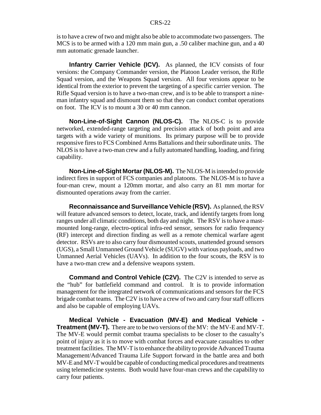is to have a crew of two and might also be able to accommodate two passengers. The MCS is to be armed with a 120 mm main gun, a .50 caliber machine gun, and a 40 mm automatic grenade launcher.

**Infantry Carrier Vehicle (ICV).** As planned, the ICV consists of four versions: the Company Commander version, the Platoon Leader verison, the Rifle Squad version, and the Weapons Squad version. All four versions appear to be identical from the exterior to prevent the targeting of a specific carrier version. The Rifle Squad version is to have a two-man crew, and is to be able to transport a nineman infantry squad and dismount them so that they can conduct combat operations on foot. The ICV is to mount a 30 or 40 mm cannon.

**Non-Line-of-Sight Cannon (NLOS-C).** The NLOS-C is to provide networked, extended-range targeting and precision attack of both point and area targets with a wide variety of munitions. Its primary purpose will be to provide responsive fires to FCS Combined Arms Battalions and their subordinate units. The NLOS is to have a two-man crew and a fully automated handling, loading, and firing capability.

**Non-Line-of-Sight Mortar (NLOS-M).** The NLOS-M is intended to provide indirect fires in support of FCS companies and platoons. The NLOS-M is to have a four-man crew, mount a 120mm mortar, and also carry an 81 mm mortar for dismounted operations away from the carrier.

**Reconnaissance and Surveillance Vehicle (RSV).** As planned, the RSV will feature advanced sensors to detect, locate, track, and identify targets from long ranges under all climatic conditions, both day and night. The RSV is to have a mastmounted long-range, electro-optical infra-red sensor, sensors for radio frequency (RF) intercept and direction finding as well as a remote chemical warfare agent detector. RSVs are to also carry four dismounted scouts, unattended ground sensors (UGS), a Small Unmanned Ground Vehicle (SUGV) with various payloads, and two Unmanned Aerial Vehicles (UAVs). In addition to the four scouts, the RSV is to have a two-man crew and a defensive weapons system.

**Command and Control Vehicle (C2V).** The C2V is intended to serve as the "hub" for battlefield command and control. It is to provide information management for the integrated network of communications and sensors for the FCS brigade combat teams. The C2V is to have a crew of two and carry four staff officers and also be capable of employing UAVs.

**Medical Vehicle - Evacuation (MV-E) and Medical Vehicle - Treatment (MV-T).** There are to be two versions of the MV: the MV-E and MV-T. The MV-E would permit combat trauma specialists to be closer to the casualty's point of injury as it is to move with combat forces and evacuate casualties to other treatment facilities. The MV-T is to enhance the ability to provide Advanced Trauma Management/Advanced Trauma Life Support forward in the battle area and both MV-E and MV-T would be capable of conducting medical procedures and treatments using telemedicine systems. Both would have four-man crews and the capability to carry four patients.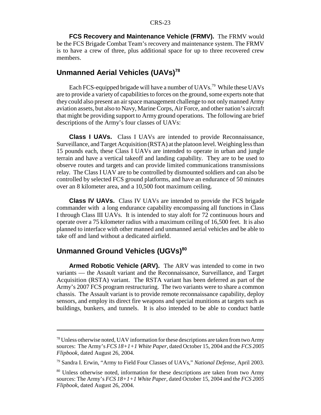**FCS Recovery and Maintenance Vehicle (FRMV).** The FRMV would be the FCS Brigade Combat Team's recovery and maintenance system. The FRMV is to have a crew of three, plus additional space for up to three recovered crew members.

# **Unmanned Aerial Vehicles (UAVs)78**

Each FCS-equipped brigade will have a number of UAVs.<sup>79</sup> While these UAVs are to provide a variety of capabilities to forces on the ground, some experts note that they could also present an air space management challenge to not only manned Army aviation assets, but also to Navy, Marine Corps, Air Force, and other nation's aircraft that might be providing support to Army ground operations. The following are brief descriptions of the Army's four classes of UAVs:

**Class I UAVs.** Class I UAVs are intended to provide Reconnaissance, Surveillance, and Target Acquisition (RSTA) at the platoon level. Weighing less than 15 pounds each, these Class I UAVs are intended to operate in urban and jungle terrain and have a vertical takeoff and landing capability. They are to be used to observe routes and targets and can provide limited communications transmissions relay. The Class I UAV are to be controlled by dismounted soldiers and can also be controlled by selected FCS ground platforms, and have an endurance of 50 minutes over an 8 kilometer area, and a 10,500 foot maximum ceiling.

**Class IV UAVs.** Class IV UAVs are intended to provide the FCS brigade commander with a long endurance capability encompassing all functions in Class I through Class III UAVs. It is intended to stay aloft for 72 continuous hours and operate over a 75 kilometer radius with a maximum ceiling of 16,500 feet. It is also planned to interface with other manned and unmanned aerial vehicles and be able to take off and land without a dedicated airfield.

# **Unmanned Ground Vehicles (UGVs)<sup>80</sup>**

**Armed Robotic Vehicle (ARV).** The ARV was intended to come in two variants — the Assault variant and the Reconnaissance, Surveillance, and Target Acquisition (RSTA) variant. The RSTA variant has been deferred as part of the Army's 2007 FCS program restructuring. The two variants were to share a common chassis. The Assault variant is to provide remote reconnaissance capability, deploy sensors, and employ its direct fire weapons and special munitions at targets such as buildings, bunkers, and tunnels. It is also intended to be able to conduct battle

 $78$  Unless otherwise noted, UAV information for these descriptions are taken from two Army sources: The Army's *FCS 18+1+1 White Paper*, dated October 15, 2004 and the *FCS 2005 Flipbook*, dated August 26, 2004.

<sup>79</sup> Sandra I. Erwin, "Army to Field Four Classes of UAVs," *National Defense*, April 2003.

<sup>&</sup>lt;sup>80</sup> Unless otherwise noted, information for these descriptions are taken from two Army sources: The Army's *FCS 18+1+1 White Paper*, dated October 15, 2004 and the *FCS 2005 Flipbook*, dated August 26, 2004.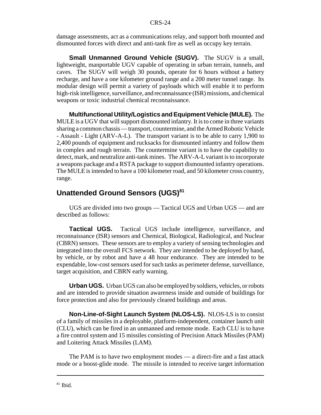damage assessments, act as a communications relay, and support both mounted and dismounted forces with direct and anti-tank fire as well as occupy key terrain.

**Small Unmanned Ground Vehicle (SUGV).** The SUGV is a small, lightweight, manportable UGV capable of operating in urban terrain, tunnels, and caves. The SUGV will weigh 30 pounds, operate for 6 hours without a battery recharge, and have a one kilometer ground range and a 200 meter tunnel range. Its modular design will permit a variety of payloads which will enable it to perform high-risk intelligence, surveillance, and reconnaissance (ISR) missions, and chemical weapons or toxic industrial chemical reconnaissance.

**Multifunctional Utility/Logistics and Equipment Vehicle (MULE).** The MULE is a UGV that will support dismounted infantry. It is to come in three variants sharing a common chassis — transport, countermine, and the Armed Robotic Vehicle - Assault - Light (ARV-A-L). The transport variant is to be able to carry 1,900 to 2,400 pounds of equipment and rucksacks for dismounted infantry and follow them in complex and rough terrain. The countermine variant is to have the capability to detect, mark, and neutralize anti-tank mines. The ARV-A-L variant is to incorporate a weapons package and a RSTA package to support dismounted infantry operations. The MULE is intended to have a 100 kilometer road, and 50 kilometer cross country, range.

# **Unattended Ground Sensors (UGS)<sup>81</sup>**

UGS are divided into two groups — Tactical UGS and Urban UGS — and are described as follows:

**Tactical UGS.** Tactical UGS include intelligence, surveillance, and reconnaissance (ISR) sensors and Chemical, Biological, Radiological, and Nuclear (CBRN) sensors. These sensors are to employ a variety of sensing technologies and integrated into the overall FCS network. They are intended to be deployed by hand, by vehicle, or by robot and have a 48 hour endurance. They are intended to be expendable, low-cost sensors used for such tasks as perimeter defense, surveillance, target acquisition, and CBRN early warning.

**Urban UGS.** Urban UGS can also be employed by soldiers, vehicles, or robots and are intended to provide situation awareness inside and outside of buildings for force protection and also for previously cleared buildings and areas.

**Non-Line-of-Sight Launch System (NLOS-LS).** NLOS-LS is to consist of a family of missiles in a deployable, platform-independent, container launch unit (CLU), which can be fired in an unmanned and remote mode. Each CLU is to have a fire control system and 15 missiles consisting of Precision Attack Missiles (PAM) and Loitering Attack Missiles (LAM).

The PAM is to have two employment modes — a direct-fire and a fast attack mode or a boost-glide mode. The missile is intended to receive target information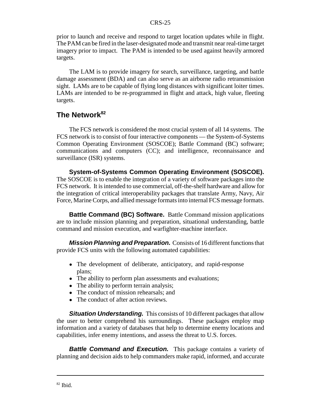prior to launch and receive and respond to target location updates while in flight. The PAM can be fired in the laser-designated mode and transmit near real-time target imagery prior to impact. The PAM is intended to be used against heavily armored targets.

The LAM is to provide imagery for search, surveillance, targeting, and battle damage assessment (BDA) and can also serve as an airborne radio retransmission sight. LAMs are to be capable of flying long distances with significant loiter times. LAMs are intended to be re-programmed in flight and attack, high value, fleeting targets.

#### **The Network82**

The FCS network is considered the most crucial system of all 14 systems. The FCS network is to consist of four interactive components — the System-of-Systems Common Operating Environment (SOSCOE); Battle Command (BC) software; communications and computers (CC); and intelligence, reconnaissance and surveillance (ISR) systems.

**System-of-Systems Common Operating Environment (SOSCOE).** The SOSCOE is to enable the integration of a variety of software packages into the FCS network. It is intended to use commercial, off-the-shelf hardware and allow for the integration of critical interoperability packages that translate Army, Navy, Air Force, Marine Corps, and allied message formats into internal FCS message formats.

**Battle Command (BC) Software.** Battle Command mission applications are to include mission planning and preparation, situational understanding, battle command and mission execution, and warfighter-machine interface.

*Mission Planning and Preparation.* Consists of 16 different functions that provide FCS units with the following automated capabilities:

- The development of deliberate, anticipatory, and rapid-response plans;
- The ability to perform plan assessments and evaluations;
- The ability to perform terrain analysis;
- The conduct of mission rehearsals; and
- The conduct of after action reviews.

**Situation Understanding.** This consists of 10 different packages that allow the user to better comprehend his surroundings. These packages employ map information and a variety of databases that help to determine enemy locations and capabilities, infer enemy intentions, and assess the threat to U.S. forces.

**Battle Command and Execution.** This package contains a variety of planning and decision aids to help commanders make rapid, informed, and accurate